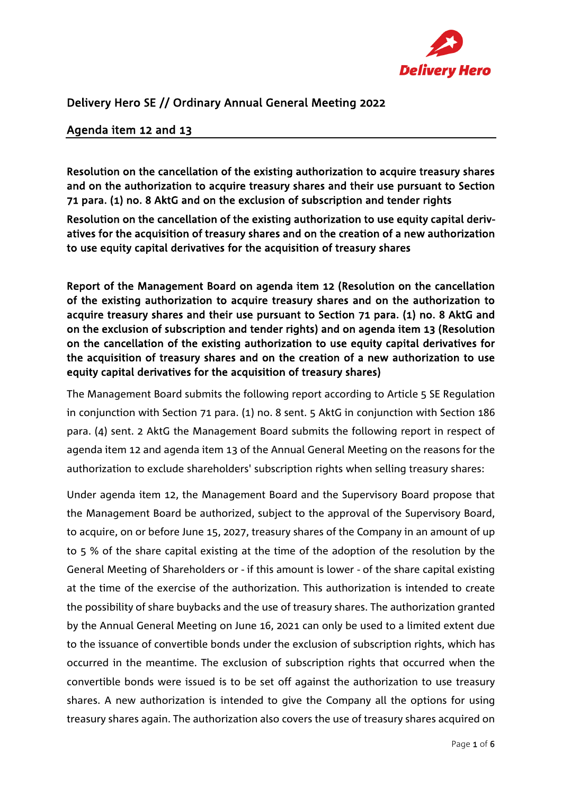

## Delivery Hero SE // Ordinary Annual General Meeting 2022

## Agenda item 12 and 13

Resolution on the cancellation of the existing authorization to acquire treasury shares and on the authorization to acquire treasury shares and their use pursuant to Section 71 para. (1) no. 8 AktG and on the exclusion of subscription and tender rights

Resolution on the cancellation of the existing authorization to use equity capital derivatives for the acquisition of treasury shares and on the creation of a new authorization to use equity capital derivatives for the acquisition of treasury shares

Report of the Management Board on agenda item 12 (Resolution on the cancellation of the existing authorization to acquire treasury shares and on the authorization to acquire treasury shares and their use pursuant to Section 71 para. (1) no. 8 AktG and on the exclusion of subscription and tender rights) and on agenda item 13 (Resolution on the cancellation of the existing authorization to use equity capital derivatives for the acquisition of treasury shares and on the creation of a new authorization to use equity capital derivatives for the acquisition of treasury shares)

The Management Board submits the following report according to Article 5 SE Regulation in conjunction with Section 71 para. (1) no. 8 sent. 5 AktG in conjunction with Section 186 para. (4) sent. 2 AktG the Management Board submits the following report in respect of agenda item 12 and agenda item 13 of the Annual General Meeting on the reasons for the authorization to exclude shareholders' subscription rights when selling treasury shares:

Under agenda item 12, the Management Board and the Supervisory Board propose that the Management Board be authorized, subject to the approval of the Supervisory Board, to acquire, on or before June 15, 2027, treasury shares of the Company in an amount of up to 5 % of the share capital existing at the time of the adoption of the resolution by the General Meeting of Shareholders or - if this amount is lower - of the share capital existing at the time of the exercise of the authorization. This authorization is intended to create the possibility of share buybacks and the use of treasury shares. The authorization granted by the Annual General Meeting on June 16, 2021 can only be used to a limited extent due to the issuance of convertible bonds under the exclusion of subscription rights, which has occurred in the meantime. The exclusion of subscription rights that occurred when the convertible bonds were issued is to be set off against the authorization to use treasury shares. A new authorization is intended to give the Company all the options for using treasury shares again. The authorization also covers the use of treasury shares acquired on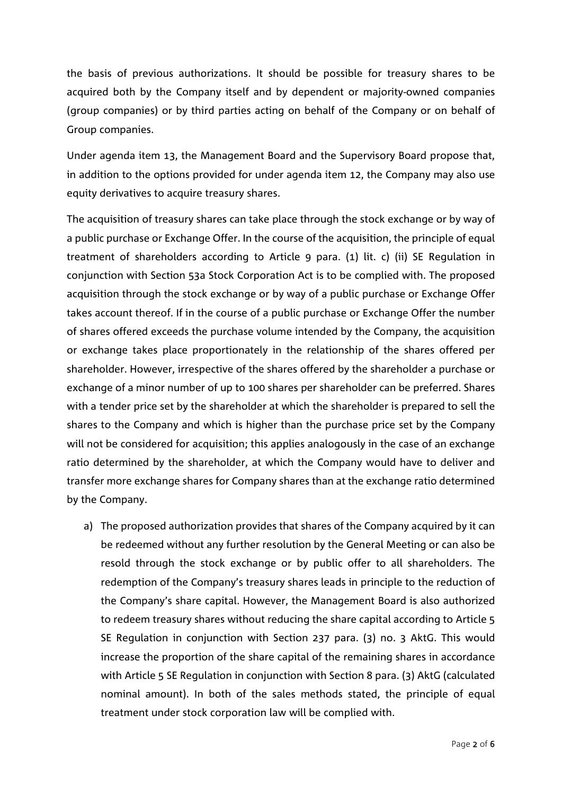the basis of previous authorizations. It should be possible for treasury shares to be acquired both by the Company itself and by dependent or majority-owned companies (group companies) or by third parties acting on behalf of the Company or on behalf of Group companies.

Under agenda item 13, the Management Board and the Supervisory Board propose that, in addition to the options provided for under agenda item 12, the Company may also use equity derivatives to acquire treasury shares.

The acquisition of treasury shares can take place through the stock exchange or by way of a public purchase or Exchange Offer. In the course of the acquisition, the principle of equal treatment of shareholders according to Article 9 para. (1) lit. c) (ii) SE Regulation in conjunction with Section 53a Stock Corporation Act is to be complied with. The proposed acquisition through the stock exchange or by way of a public purchase or Exchange Offer takes account thereof. If in the course of a public purchase or Exchange Offer the number of shares offered exceeds the purchase volume intended by the Company, the acquisition or exchange takes place proportionately in the relationship of the shares offered per shareholder. However, irrespective of the shares offered by the shareholder a purchase or exchange of a minor number of up to 100 shares per shareholder can be preferred. Shares with a tender price set by the shareholder at which the shareholder is prepared to sell the shares to the Company and which is higher than the purchase price set by the Company will not be considered for acquisition; this applies analogously in the case of an exchange ratio determined by the shareholder, at which the Company would have to deliver and transfer more exchange shares for Company shares than at the exchange ratio determined by the Company.

a) The proposed authorization provides that shares of the Company acquired by it can be redeemed without any further resolution by the General Meeting or can also be resold through the stock exchange or by public offer to all shareholders. The redemption of the Company's treasury shares leads in principle to the reduction of the Company's share capital. However, the Management Board is also authorized to redeem treasury shares without reducing the share capital according to Article 5 SE Regulation in conjunction with Section 237 para. (3) no. 3 AktG. This would increase the proportion of the share capital of the remaining shares in accordance with Article 5 SE Regulation in conjunction with Section 8 para. (3) AktG (calculated nominal amount). In both of the sales methods stated, the principle of equal treatment under stock corporation law will be complied with.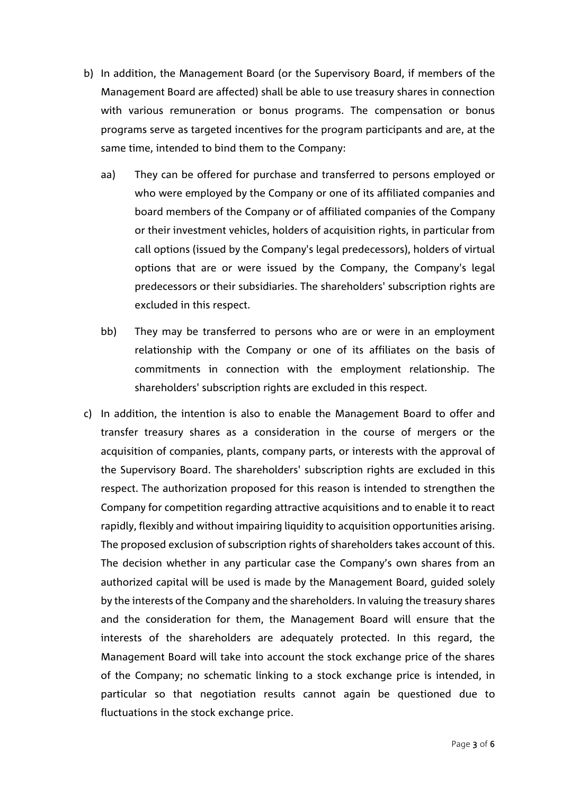- b) In addition, the Management Board (or the Supervisory Board, if members of the Management Board are affected) shall be able to use treasury shares in connection with various remuneration or bonus programs. The compensation or bonus programs serve as targeted incentives for the program participants and are, at the same time, intended to bind them to the Company:
	- aa) They can be offered for purchase and transferred to persons employed or who were employed by the Company or one of its affiliated companies and board members of the Company or of affiliated companies of the Company or their investment vehicles, holders of acquisition rights, in particular from call options (issued by the Company's legal predecessors), holders of virtual options that are or were issued by the Company, the Company's legal predecessors or their subsidiaries. The shareholders' subscription rights are excluded in this respect.
	- bb) They may be transferred to persons who are or were in an employment relationship with the Company or one of its affiliates on the basis of commitments in connection with the employment relationship. The shareholders' subscription rights are excluded in this respect.
- c) In addition, the intention is also to enable the Management Board to offer and transfer treasury shares as a consideration in the course of mergers or the acquisition of companies, plants, company parts, or interests with the approval of the Supervisory Board. The shareholders' subscription rights are excluded in this respect. The authorization proposed for this reason is intended to strengthen the Company for competition regarding attractive acquisitions and to enable it to react rapidly, flexibly and without impairing liquidity to acquisition opportunities arising. The proposed exclusion of subscription rights of shareholders takes account of this. The decision whether in any particular case the Company's own shares from an authorized capital will be used is made by the Management Board, guided solely by the interests of the Company and the shareholders. In valuing the treasury shares and the consideration for them, the Management Board will ensure that the interests of the shareholders are adequately protected. In this regard, the Management Board will take into account the stock exchange price of the shares of the Company; no schematic linking to a stock exchange price is intended, in particular so that negotiation results cannot again be questioned due to fluctuations in the stock exchange price.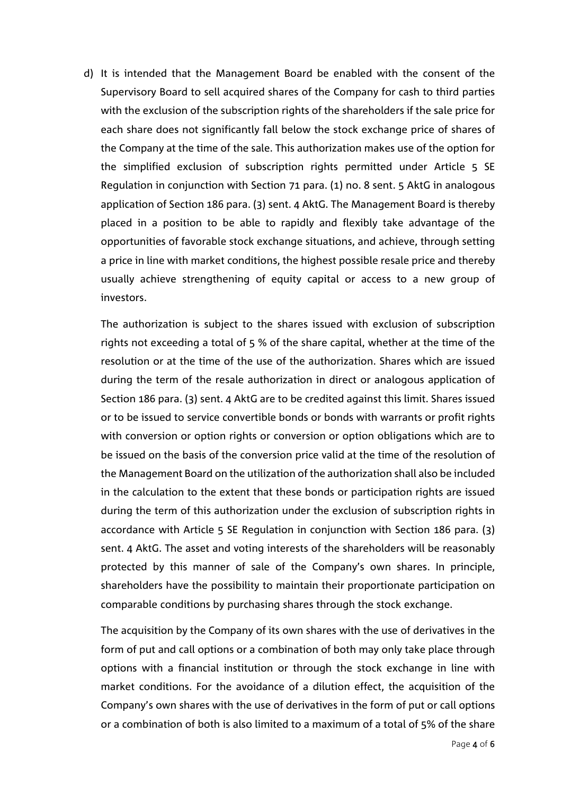d) It is intended that the Management Board be enabled with the consent of the Supervisory Board to sell acquired shares of the Company for cash to third parties with the exclusion of the subscription rights of the shareholders if the sale price for each share does not significantly fall below the stock exchange price of shares of the Company at the time of the sale. This authorization makes use of the option for the simplified exclusion of subscription rights permitted under Article 5 SE Regulation in conjunction with Section 71 para. (1) no. 8 sent. 5 AktG in analogous application of Section 186 para. (3) sent. 4 AktG. The Management Board is thereby placed in a position to be able to rapidly and flexibly take advantage of the opportunities of favorable stock exchange situations, and achieve, through setting a price in line with market conditions, the highest possible resale price and thereby usually achieve strengthening of equity capital or access to a new group of investors.

The authorization is subject to the shares issued with exclusion of subscription rights not exceeding a total of 5 % of the share capital, whether at the time of the resolution or at the time of the use of the authorization. Shares which are issued during the term of the resale authorization in direct or analogous application of Section 186 para. (3) sent. 4 AktG are to be credited against this limit. Shares issued or to be issued to service convertible bonds or bonds with warrants or profit rights with conversion or option rights or conversion or option obligations which are to be issued on the basis of the conversion price valid at the time of the resolution of the Management Board on the utilization of the authorization shall also be included in the calculation to the extent that these bonds or participation rights are issued during the term of this authorization under the exclusion of subscription rights in accordance with Article 5 SE Regulation in conjunction with Section 186 para. (3) sent. 4 AktG. The asset and voting interests of the shareholders will be reasonably protected by this manner of sale of the Company's own shares. In principle, shareholders have the possibility to maintain their proportionate participation on comparable conditions by purchasing shares through the stock exchange.

The acquisition by the Company of its own shares with the use of derivatives in the form of put and call options or a combination of both may only take place through options with a financial institution or through the stock exchange in line with market conditions. For the avoidance of a dilution effect, the acquisition of the Company's own shares with the use of derivatives in the form of put or call options or a combination of both is also limited to a maximum of a total of 5% of the share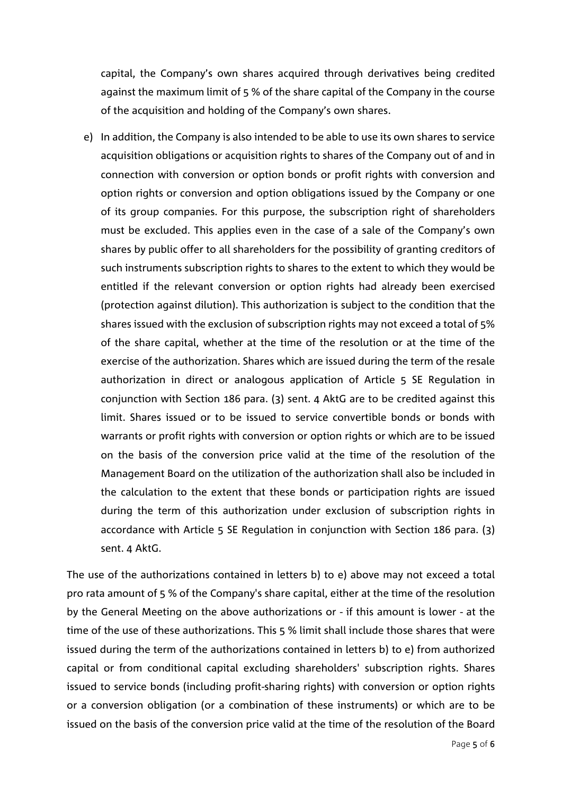capital, the Company's own shares acquired through derivatives being credited against the maximum limit of 5 % of the share capital of the Company in the course of the acquisition and holding of the Company's own shares.

e) In addition, the Company is also intended to be able to use its own shares to service acquisition obligations or acquisition rights to shares of the Company out of and in connection with conversion or option bonds or profit rights with conversion and option rights or conversion and option obligations issued by the Company or one of its group companies. For this purpose, the subscription right of shareholders must be excluded. This applies even in the case of a sale of the Company's own shares by public offer to all shareholders for the possibility of granting creditors of such instruments subscription rights to shares to the extent to which they would be entitled if the relevant conversion or option rights had already been exercised (protection against dilution). This authorization is subject to the condition that the shares issued with the exclusion of subscription rights may not exceed a total of 5% of the share capital, whether at the time of the resolution or at the time of the exercise of the authorization. Shares which are issued during the term of the resale authorization in direct or analogous application of Article 5 SE Regulation in conjunction with Section 186 para. (3) sent. 4 AktG are to be credited against this limit. Shares issued or to be issued to service convertible bonds or bonds with warrants or profit rights with conversion or option rights or which are to be issued on the basis of the conversion price valid at the time of the resolution of the Management Board on the utilization of the authorization shall also be included in the calculation to the extent that these bonds or participation rights are issued during the term of this authorization under exclusion of subscription rights in accordance with Article 5 SE Regulation in conjunction with Section 186 para. (3) sent. 4 AktG.

The use of the authorizations contained in letters b) to e) above may not exceed a total pro rata amount of 5 % of the Company's share capital, either at the time of the resolution by the General Meeting on the above authorizations or - if this amount is lower - at the time of the use of these authorizations. This 5 % limit shall include those shares that were issued during the term of the authorizations contained in letters b) to e) from authorized capital or from conditional capital excluding shareholders' subscription rights. Shares issued to service bonds (including profit-sharing rights) with conversion or option rights or a conversion obligation (or a combination of these instruments) or which are to be issued on the basis of the conversion price valid at the time of the resolution of the Board